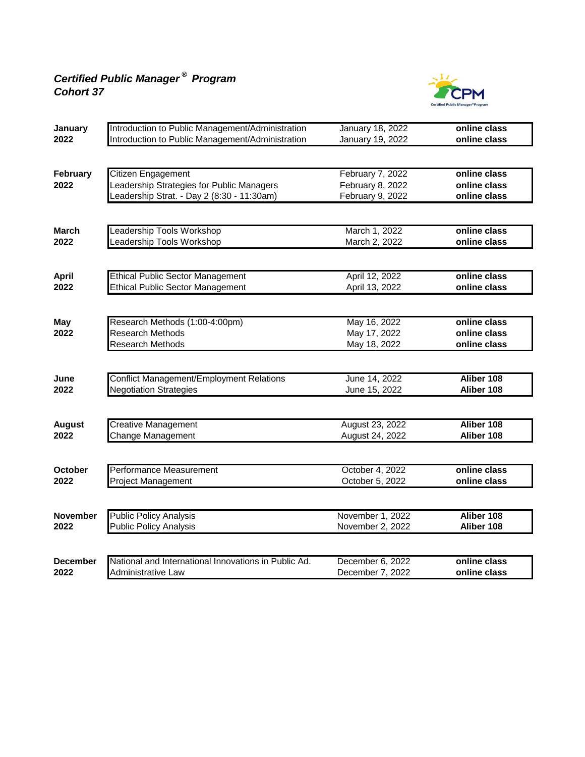## *Certified Public Manager ® Program Cohort 37*



| January         | Introduction to Public Management/Administration     | January 18, 2022 | online class |
|-----------------|------------------------------------------------------|------------------|--------------|
| 2022            | Introduction to Public Management/Administration     | January 19, 2022 | online class |
|                 |                                                      |                  |              |
| February        | Citizen Engagement                                   | February 7, 2022 | online class |
| 2022            | Leadership Strategies for Public Managers            | February 8, 2022 | online class |
|                 | Leadership Strat. - Day 2 (8:30 - 11:30am)           | February 9, 2022 | online class |
|                 |                                                      |                  |              |
| <b>March</b>    | Leadership Tools Workshop                            | March 1, 2022    | online class |
| 2022            | eadership Tools Workshop                             | March 2, 2022    | online class |
|                 |                                                      |                  |              |
| <b>April</b>    | <b>Ethical Public Sector Management</b>              | April 12, 2022   | online class |
| 2022            | <b>Ethical Public Sector Management</b>              | April 13, 2022   | online class |
|                 |                                                      |                  |              |
| <b>May</b>      | Research Methods (1:00-4:00pm)                       | May 16, 2022     | online class |
| 2022            | <b>Research Methods</b>                              | May 17, 2022     | online class |
|                 | Research Methods                                     | May 18, 2022     | online class |
|                 |                                                      |                  |              |
| June            | <b>Conflict Management/Employment Relations</b>      | June 14, 2022    | Aliber 108   |
| 2022            | <b>Negotiation Strategies</b>                        | June 15, 2022    | Aliber 108   |
|                 |                                                      |                  |              |
| <b>August</b>   | <b>Creative Management</b>                           | August 23, 2022  | Aliber 108   |
| 2022            | Change Management                                    | August 24, 2022  | Aliber 108   |
|                 |                                                      |                  |              |
| October         | Performance Measurement                              | October 4, 2022  | online class |
| 2022            | Project Management                                   | October 5, 2022  | online class |
|                 |                                                      |                  |              |
| <b>November</b> | <b>Public Policy Analysis</b>                        | November 1, 2022 | Aliber 108   |
| 2022            | <b>Public Policy Analysis</b>                        | November 2, 2022 | Aliber 108   |
|                 |                                                      |                  |              |
| <b>December</b> | National and International Innovations in Public Ad. | December 6, 2022 | online class |
| 2022            | Administrative Law                                   | December 7, 2022 | online class |